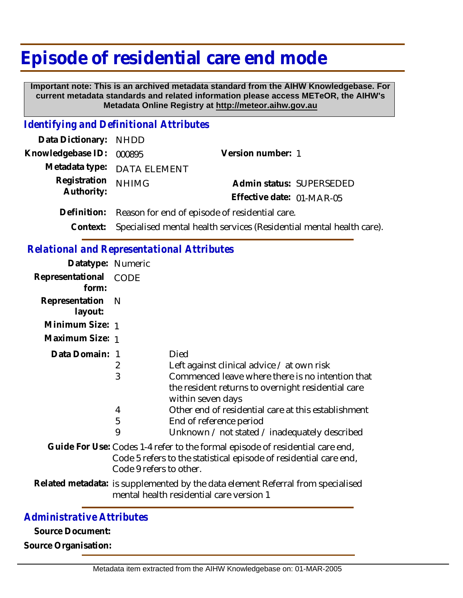## **Episode of residential care end mode**

 **Important note: This is an archived metadata standard from the AIHW Knowledgebase. For current metadata standards and related information please access METeOR, the AIHW's Metadata Online Registry at http://meteor.aihw.gov.au**

## *Identifying and Definitional Attributes*

| Data Dictionary: NHDD      |                                                            |                           |                          |
|----------------------------|------------------------------------------------------------|---------------------------|--------------------------|
| Knowledgebase ID: 000895   |                                                            | Version number: 1         |                          |
|                            | Metadata type: DATA ELEMENT                                |                           |                          |
| Registration<br>Authority: | <b>NHIMG</b>                                               |                           | Admin status: SUPERSEDED |
|                            |                                                            | Effective date: 01-MAR-05 |                          |
|                            | Definition: Reason for end of episode of residential care. |                           |                          |
|                            |                                                            |                           |                          |

**Context:** Specialised mental health services (Residential mental health care).

## *Relational and Representational Attributes*

| Datatype: Numeric              |                         |                                                                                                                                                                                                                                                                                                                      |
|--------------------------------|-------------------------|----------------------------------------------------------------------------------------------------------------------------------------------------------------------------------------------------------------------------------------------------------------------------------------------------------------------|
| Representational CODE<br>form: |                         |                                                                                                                                                                                                                                                                                                                      |
| Representation<br>layout:      | - N                     |                                                                                                                                                                                                                                                                                                                      |
| Minimum Size: 1                |                         |                                                                                                                                                                                                                                                                                                                      |
| Maximum Size: 1                |                         |                                                                                                                                                                                                                                                                                                                      |
| Data Domain: 1                 | 2<br>3<br>4<br>5<br>9   | Died<br>Left against clinical advice / at own risk<br>Commenced leave where there is no intention that<br>the resident returns to overnight residential care<br>within seven days<br>Other end of residential care at this establishment<br>End of reference period<br>Unknown / not stated / inadequately described |
|                                | Code 9 refers to other. | Guide For Use: Codes 1-4 refer to the formal episode of residential care end,<br>Code 5 refers to the statistical episode of residential care end,                                                                                                                                                                   |
|                                |                         |                                                                                                                                                                                                                                                                                                                      |

Related metadata: is supplemented by the data element Referral from specialised mental health residential care version 1

## *Administrative Attributes*

**Source Document:**

**Source Organisation:**